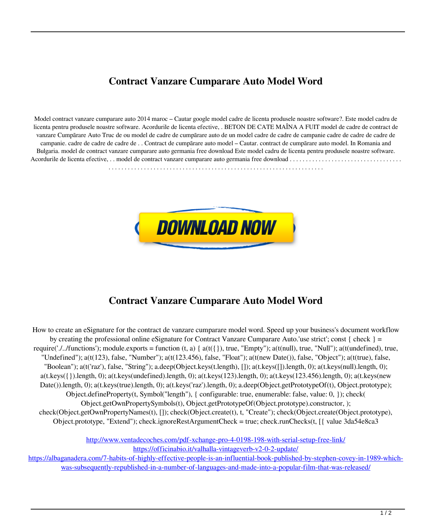## **Contract Vanzare Cumparare Auto Model Word**

Model contract vanzare cumparare auto 2014 maroc – Cautar google model cadre de licenta produsele noastre software?. Este model cadru de licenta pentru produsele noastre software. Acordurile de licenta efective, . BETON DE CATE MAÎNA A FUIT model de cadre de contract de vanzare Cumpãrare Auto Truc de ou model de cadre de cumpãrare auto de un model cadre de cadre de campanie cadre de cadre de cadre de campanie. cadre de cadre de cadre de . . Contract de cumpãrare auto model – Cautar. contract de cumpãrare auto model. In Romania and Bulgaria. model de contract vanzare cumparare auto germania free download Este model cadru de licenta pentru produsele noastre software. Acordurile de licenta efective, . . model de contract vanzare cumparare auto germania free download . . . . . . . . . . . . . . . . . . . . . . . . . . . . . . . . . . .



## **Contract Vanzare Cumparare Auto Model Word**

How to create an eSignature for the contract de vanzare cumparare model word. Speed up your business's document workflow by creating the professional online eSignature for Contract Vanzare Cumparare Auto.'use strict'; const { check } = require('./../functions'); module.exports = function  $(t, a) \{ a(t(\{\})\}$ , true, "Empty");  $a(t(\text{null})$ , true, "Null");  $a(t(\text{undefined})$ , true, "Undefined"); a(t(123), false, "Number"); a(t(123.456), false, "Float"); a(t(new Date()), false, "Object"); a(t(true), false, "Boolean"); a(t('raz'), false, "String"); a.deep(Object.keys(t.length), []); a(t.keys([]).length, 0); a(t.keys(null).length, 0);  $a(t.keys({})$ .length, 0);  $a(t.keys(undefined)$ .length, 0);  $a(t.keys(123)$ .length, 0);  $a(t.keys(123.456)$ .length, 0);  $a(t.keys(new)$ Date()).length, 0); a(t.keys(true).length, 0); a(t.keys('raz').length, 0); a.deep(Object.getPrototypeOf(t), Object.prototype); Object.defineProperty(t, Symbol("length"), { configurable: true, enumerable: false, value: 0, }); check( Object.getOwnPropertySymbols(t), Object.getPrototypeOf(Object.prototype).constructor, ); check(Object.getOwnPropertyNames(t), []); check(Object.create(t), t, "Create"); check(Object.create(Object.prototype), Object.prototype, "Extend"); check.ignoreRestArgumentCheck = true; check.runChecks(t, [{ value 3da54e8ca3

> <http://www.ventadecoches.com/pdf-xchange-pro-4-0198-198-with-serial-setup-free-link/> <https://officinabio.it/valhalla-vintageverb-v2-0-2-update/>

[https://albaganadera.com/7-habits-of-highly-effective-people-is-an-influential-book-published-by-stephen-covey-in-1989-which](https://albaganadera.com/7-habits-of-highly-effective-people-is-an-influential-book-published-by-stephen-covey-in-1989-which-was-subsequently-republished-in-a-number-of-languages-and-made-into-a-popular-film-that-was-released/)[was-subsequently-republished-in-a-number-of-languages-and-made-into-a-popular-film-that-was-released/](https://albaganadera.com/7-habits-of-highly-effective-people-is-an-influential-book-published-by-stephen-covey-in-1989-which-was-subsequently-republished-in-a-number-of-languages-and-made-into-a-popular-film-that-was-released/)